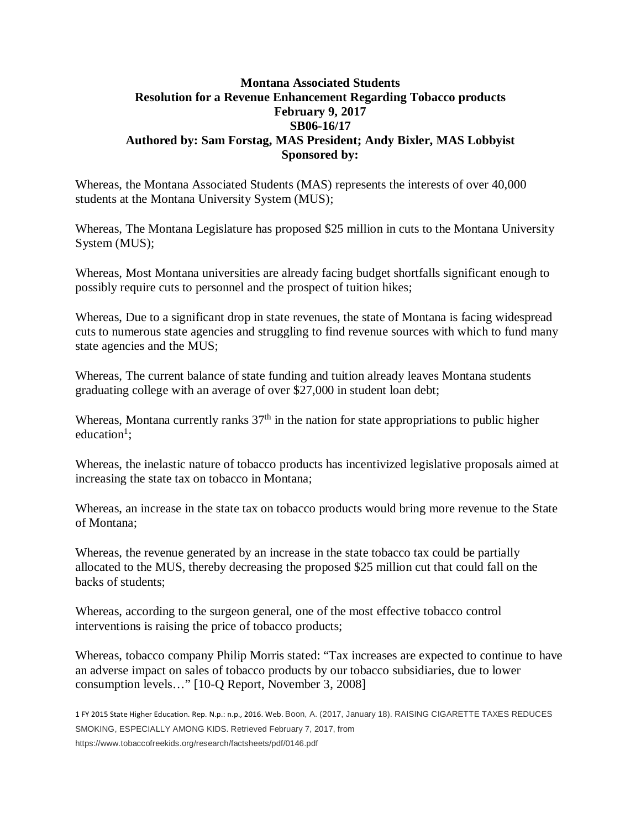## **Montana Associated Students Resolution for a Revenue Enhancement Regarding Tobacco products February 9, 2017 SB06-16/17 Authored by: Sam Forstag, MAS President; Andy Bixler, MAS Lobbyist Sponsored by:**

Whereas, the Montana Associated Students (MAS) represents the interests of over 40,000 students at the Montana University System (MUS);

Whereas, The Montana Legislature has proposed \$25 million in cuts to the Montana University System (MUS);

Whereas, Most Montana universities are already facing budget shortfalls significant enough to possibly require cuts to personnel and the prospect of tuition hikes;

Whereas, Due to a significant drop in state revenues, the state of Montana is facing widespread cuts to numerous state agencies and struggling to find revenue sources with which to fund many state agencies and the MUS;

Whereas, The current balance of state funding and tuition already leaves Montana students graduating college with an average of over \$27,000 in student loan debt;

Whereas, Montana currently ranks  $37<sup>th</sup>$  in the nation for state appropriations to public higher education<sup>1</sup>;

Whereas, the inelastic nature of tobacco products has incentivized legislative proposals aimed at increasing the state tax on tobacco in Montana;

Whereas, an increase in the state tax on tobacco products would bring more revenue to the State of Montana;

Whereas, the revenue generated by an increase in the state tobacco tax could be partially allocated to the MUS, thereby decreasing the proposed \$25 million cut that could fall on the backs of students;

Whereas, according to the surgeon general, one of the most effective tobacco control interventions is raising the price of tobacco products;

Whereas, tobacco company Philip Morris stated: "Tax increases are expected to continue to have an adverse impact on sales of tobacco products by our tobacco subsidiaries, due to lower consumption levels…" [10-Q Report, November 3, 2008]

1 FY 2015 State Higher Education. Rep. N.p.: n.p., 2016. Web. Boon, A. (2017, January 18). RAISING CIGARETTE TAXES REDUCES SMOKING, ESPECIALLY AMONG KIDS. Retrieved February 7, 2017, from https://www.tobaccofreekids.org/research/factsheets/pdf/0146.pdf